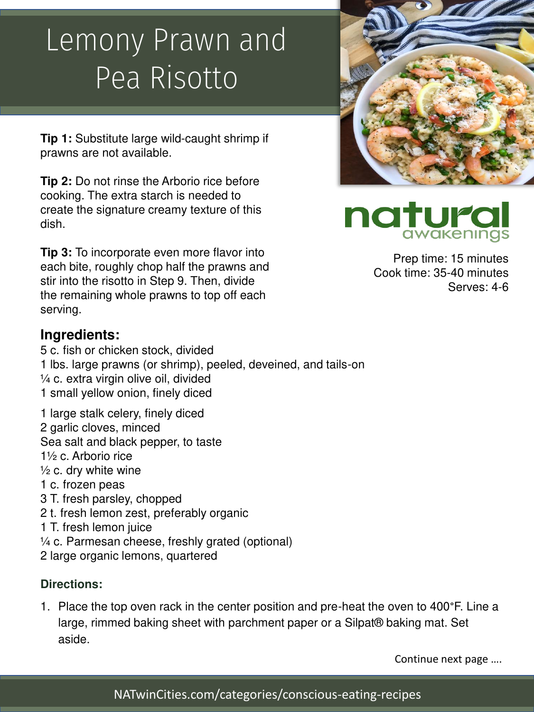# Lemony Prawn and Pea Risotto

**Tip 1:** Substitute large wild-caught shrimp if prawns are not available.

**Tip 2:** Do not rinse the Arborio rice before cooking. The extra starch is needed to create the signature creamy texture of this dish.

**Tip 3:** To incorporate even more flavor into each bite, roughly chop half the prawns and stir into the risotto in Step 9. Then, divide the remaining whole prawns to top off each serving.

### **Ingredients:**

- 5 c. fish or chicken stock, divided 1 lbs. large prawns (or shrimp), peeled, deveined, and tails-on ¼ c. extra virgin olive oil, divided 1 small yellow onion, finely diced
- 1 large stalk celery, finely diced 2 garlic cloves, minced Sea salt and black pepper, to taste 1½ c. Arborio rice  $\frac{1}{2}$  c. dry white wine 1 c. frozen peas 3 T. fresh parsley, chopped 2 t. fresh lemon zest, preferably organic 1 T. fresh lemon juice ¼ c. Parmesan cheese, freshly grated (optional)
- 2 large organic lemons, quartered

#### **Directions:**

1. Place the top oven rack in the center position and pre-heat the oven to 400°F. Line a large, rimmed baking sheet with parchment paper or a Silpat® baking mat. Set aside.

Continue next page ….



Prep time: 15 minutes Cook time: 35-40 minutes Serves: 4-6